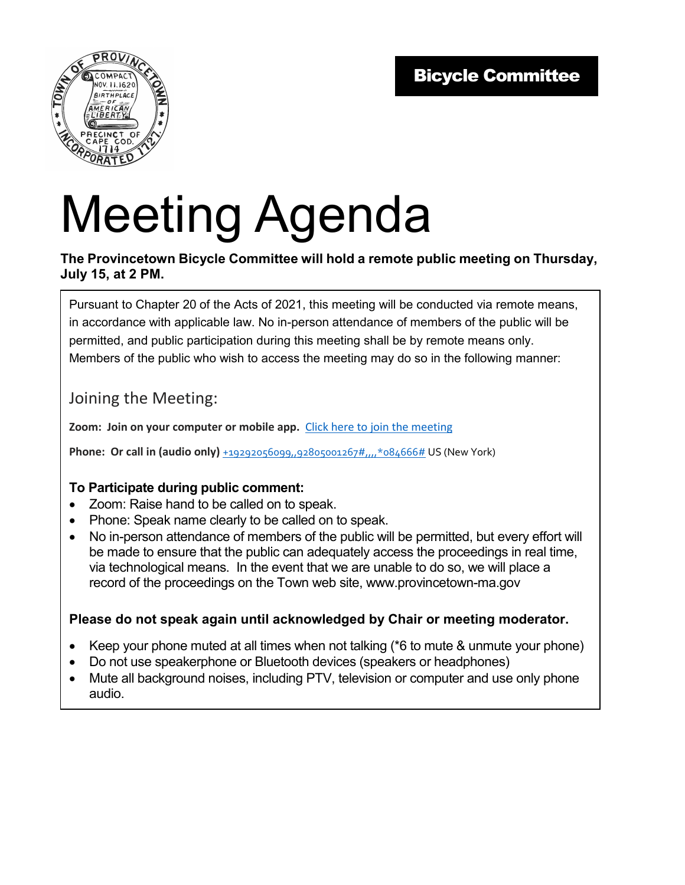

# Meeting Agenda

#### **The Provincetown Bicycle Committee will hold a remote public meeting on Thursday, July 15, at 2 PM.**

Pursuant to Chapter 20 of the Acts of 2021, this meeting will be conducted via remote means, in accordance with applicable law. No in-person attendance of members of the public will be permitted, and public participation during this meeting shall be by remote means only. Members of the public who wish to access the meeting may do so in the following manner:

### Joining the Meeting:

**Zoom: Join on your computer or mobile app.** Click here to join the meeting

**Phone: Or call in (audio only)** +19292056099,,92805001267#,.,,\*084666# US (New York)

#### **To Participate during public comment:**

- Zoom: Raise hand to be called on to speak.
- Phone: Speak name clearly to be called on to speak.
- No in-person attendance of members of the public will be permitted, but every effort will be made to ensure that the public can adequately access the proceedings in real time, via technological means. In the event that we are unable to do so, we will place a record of the proceedings on the Town web site, www.provincetown-ma.gov

#### **Please do not speak again until acknowledged by Chair or meeting moderator.**

- Keep your phone muted at all times when not talking (\*6 to mute & unmute your phone)
- Do not use speakerphone or Bluetooth devices (speakers or headphones)
- Mute all background noises, including PTV, television or computer and use only phone audio.